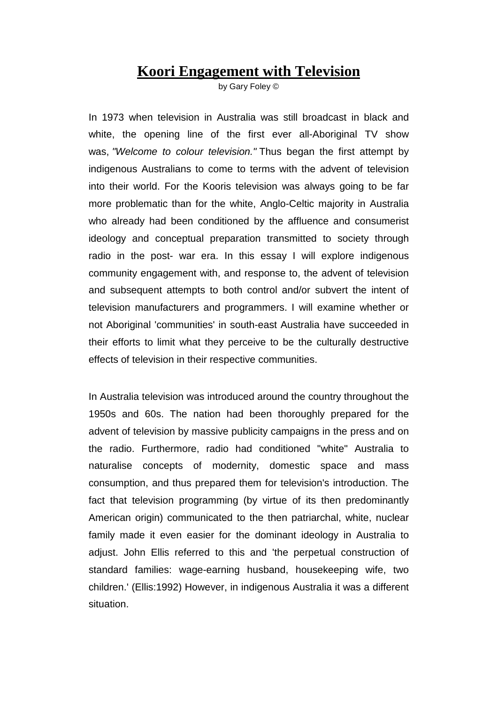## **Koori Engagement with Television**

by Gary Foley ©

In 1973 when television in Australia was still broadcast in black and white, the opening line of the first ever all-Aboriginal TV show was, *"Welcome to colour television."* Thus began the first attempt by indigenous Australians to come to terms with the advent of television into their world. For the Kooris television was always going to be far more problematic than for the white, Anglo-Celtic majority in Australia who already had been conditioned by the affluence and consumerist ideology and conceptual preparation transmitted to society through radio in the post- war era. In this essay I will explore indigenous community engagement with, and response to, the advent of television and subsequent attempts to both control and/or subvert the intent of television manufacturers and programmers. I will examine whether or not Aboriginal 'communities' in south-east Australia have succeeded in their efforts to limit what they perceive to be the culturally destructive effects of television in their respective communities.

In Australia television was introduced around the country throughout the 1950s and 60s. The nation had been thoroughly prepared for the advent of television by massive publicity campaigns in the press and on the radio. Furthermore, radio had conditioned "white" Australia to naturalise concepts of modernity, domestic space and mass consumption, and thus prepared them for television's introduction. The fact that television programming (by virtue of its then predominantly American origin) communicated to the then patriarchal, white, nuclear family made it even easier for the dominant ideology in Australia to adjust. John Ellis referred to this and 'the perpetual construction of standard families: wage-earning husband, housekeeping wife, two children.' (Ellis:1992) However, in indigenous Australia it was a different situation.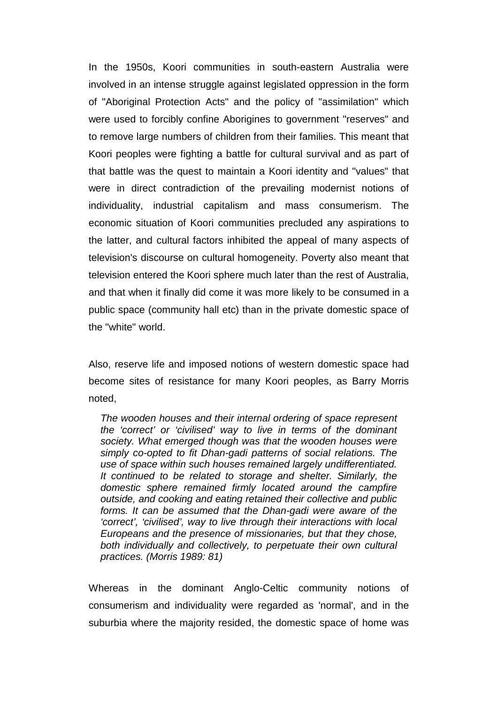In the 1950s, Koori communities in south-eastern Australia were involved in an intense struggle against legislated oppression in the form of "Aboriginal Protection Acts" and the policy of "assimilation" which were used to forcibly confine Aborigines to government "reserves" and to remove large numbers of children from their families. This meant that Koori peoples were fighting a battle for cultural survival and as part of that battle was the quest to maintain a Koori identity and "values" that were in direct contradiction of the prevailing modernist notions of individuality, industrial capitalism and mass consumerism. The economic situation of Koori communities precluded any aspirations to the latter, and cultural factors inhibited the appeal of many aspects of television's discourse on cultural homogeneity. Poverty also meant that television entered the Koori sphere much later than the rest of Australia, and that when it finally did come it was more likely to be consumed in a public space (community hall etc) than in the private domestic space of the "white" world.

Also, reserve life and imposed notions of western domestic space had become sites of resistance for many Koori peoples, as Barry Morris noted,

*The wooden houses and their internal ordering of space represent the 'correct' or 'civilised' way to live in terms of the dominant society. What emerged though was that the wooden houses were simply co-opted to fit Dhan-gadi patterns of social relations. The use of space within such houses remained largely undifferentiated. It continued to be related to storage and shelter. Similarly, the domestic sphere remained firmly located around the campfire outside, and cooking and eating retained their collective and public forms. It can be assumed that the Dhan-gadi were aware of the 'correct', 'civilised', way to live through their interactions with local Europeans and the presence of missionaries, but that they chose, both individually and collectively, to perpetuate their own cultural practices. (Morris 1989: 81)*

Whereas in the dominant Anglo-Celtic community notions of consumerism and individuality were regarded as 'normal', and in the suburbia where the majority resided, the domestic space of home was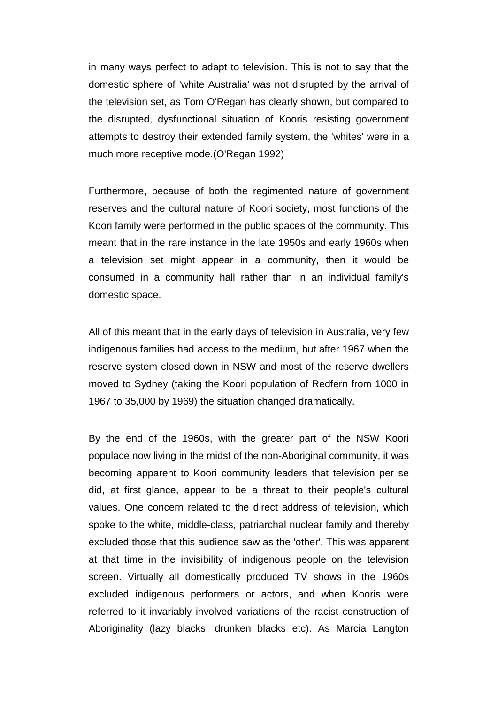in many ways perfect to adapt to television. This is not to say that the domestic sphere of 'white Australia' was not disrupted by the arrival of the television set, as Tom O'Regan has clearly shown, but compared to the disrupted, dysfunctional situation of Kooris resisting government attempts to destroy their extended family system, the 'whites' were in a much more receptive mode.(O'Regan 1992)

Furthermore, because of both the regimented nature of government reserves and the cultural nature of Koori society, most functions of the Koori family were performed in the public spaces of the community. This meant that in the rare instance in the late 1950s and early 1960s when a television set might appear in a community, then it would be consumed in a community hall rather than in an individual family's domestic space.

All of this meant that in the early days of television in Australia, very few indigenous families had access to the medium, but after 1967 when the reserve system closed down in NSW and most of the reserve dwellers moved to Sydney (taking the Koori population of Redfern from 1000 in 1967 to 35,000 by 1969) the situation changed dramatically.

By the end of the 1960s, with the greater part of the NSW Koori populace now living in the midst of the non-Aboriginal community, it was becoming apparent to Koori community leaders that television per se did, at first glance, appear to be a threat to their people's cultural values. One concern related to the direct address of television, which spoke to the white, middle-class, patriarchal nuclear family and thereby excluded those that this audience saw as the 'other'. This was apparent at that time in the invisibility of indigenous people on the television screen. Virtually all domestically produced TV shows in the 1960s excluded indigenous performers or actors, and when Kooris were referred to it invariably involved variations of the racist construction of Aboriginality (lazy blacks, drunken blacks etc). As Marcia Langton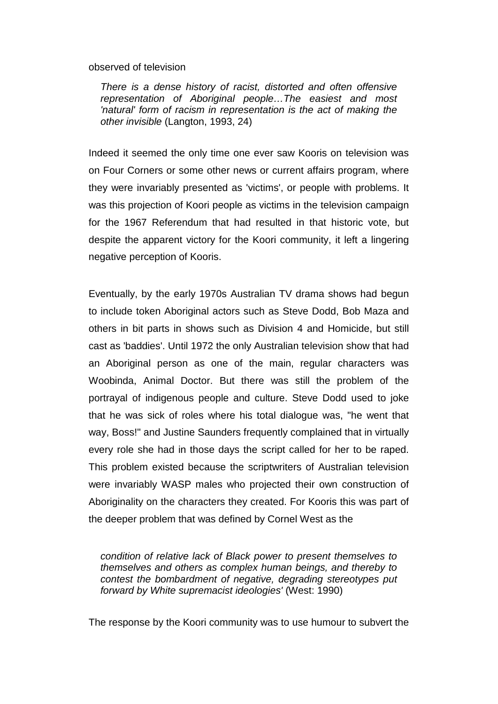observed of television

*There is a dense history of racist, distorted and often offensive representation of Aboriginal people…The easiest and most 'natural' form of racism in representation is the act of making the other invisible* (Langton, 1993, 24)

Indeed it seemed the only time one ever saw Kooris on television was on Four Corners or some other news or current affairs program, where they were invariably presented as 'victims', or people with problems. It was this projection of Koori people as victims in the television campaign for the 1967 Referendum that had resulted in that historic vote, but despite the apparent victory for the Koori community, it left a lingering negative perception of Kooris.

Eventually, by the early 1970s Australian TV drama shows had begun to include token Aboriginal actors such as Steve Dodd, Bob Maza and others in bit parts in shows such as Division 4 and Homicide, but still cast as 'baddies'. Until 1972 the only Australian television show that had an Aboriginal person as one of the main, regular characters was Woobinda, Animal Doctor. But there was still the problem of the portrayal of indigenous people and culture. Steve Dodd used to joke that he was sick of roles where his total dialogue was, "he went that way, Boss!" and Justine Saunders frequently complained that in virtually every role she had in those days the script called for her to be raped. This problem existed because the scriptwriters of Australian television were invariably WASP males who projected their own construction of Aboriginality on the characters they created. For Kooris this was part of the deeper problem that was defined by Cornel West as the

*condition of relative lack of Black power to present themselves to themselves and others as complex human beings, and thereby to contest the bombardment of negative, degrading stereotypes put forward by White supremacist ideologies'* (West: 1990)

The response by the Koori community was to use humour to subvert the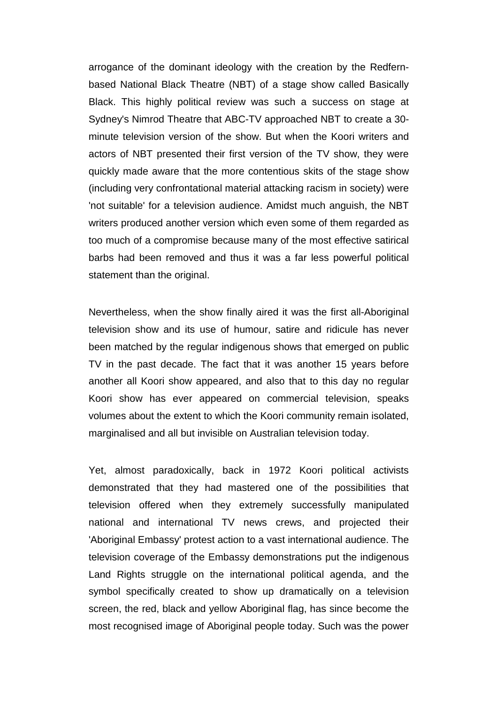arrogance of the dominant ideology with the creation by the Redfernbased National Black Theatre (NBT) of a stage show called Basically Black. This highly political review was such a success on stage at Sydney's Nimrod Theatre that ABC-TV approached NBT to create a 30 minute television version of the show. But when the Koori writers and actors of NBT presented their first version of the TV show, they were quickly made aware that the more contentious skits of the stage show (including very confrontational material attacking racism in society) were 'not suitable' for a television audience. Amidst much anguish, the NBT writers produced another version which even some of them regarded as too much of a compromise because many of the most effective satirical barbs had been removed and thus it was a far less powerful political statement than the original.

Nevertheless, when the show finally aired it was the first all-Aboriginal television show and its use of humour, satire and ridicule has never been matched by the regular indigenous shows that emerged on public TV in the past decade. The fact that it was another 15 years before another all Koori show appeared, and also that to this day no regular Koori show has ever appeared on commercial television, speaks volumes about the extent to which the Koori community remain isolated, marginalised and all but invisible on Australian television today.

Yet, almost paradoxically, back in 1972 Koori political activists demonstrated that they had mastered one of the possibilities that television offered when they extremely successfully manipulated national and international TV news crews, and projected their 'Aboriginal Embassy' protest action to a vast international audience. The television coverage of the Embassy demonstrations put the indigenous Land Rights struggle on the international political agenda, and the symbol specifically created to show up dramatically on a television screen, the red, black and yellow Aboriginal flag, has since become the most recognised image of Aboriginal people today. Such was the power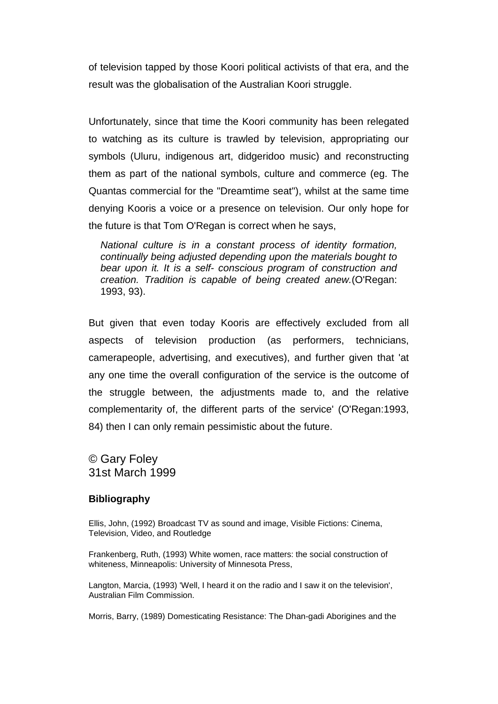of television tapped by those Koori political activists of that era, and the result was the globalisation of the Australian Koori struggle.

Unfortunately, since that time the Koori community has been relegated to watching as its culture is trawled by television, appropriating our symbols (Uluru, indigenous art, didgeridoo music) and reconstructing them as part of the national symbols, culture and commerce (eg. The Quantas commercial for the "Dreamtime seat"), whilst at the same time denying Kooris a voice or a presence on television. Our only hope for the future is that Tom O'Regan is correct when he says,

*National culture is in a constant process of identity formation, continually being adjusted depending upon the materials bought to bear upon it. It is a self- conscious program of construction and creation. Tradition is capable of being created anew.*(O'Regan: 1993, 93).

But given that even today Kooris are effectively excluded from all aspects of television production (as performers, technicians, camerapeople, advertising, and executives), and further given that 'at any one time the overall configuration of the service is the outcome of the struggle between, the adjustments made to, and the relative complementarity of, the different parts of the service' (O'Regan:1993, 84) then I can only remain pessimistic about the future.

© Gary Foley 31st March 1999

## **Bibliography**

Ellis, John, (1992) Broadcast TV as sound and image, Visible Fictions: Cinema, Television, Video, and Routledge

Frankenberg, Ruth, (1993) White women, race matters: the social construction of whiteness, Minneapolis: University of Minnesota Press,

Langton, Marcia, (1993) 'Well, I heard it on the radio and I saw it on the television', Australian Film Commission.

Morris, Barry, (1989) Domesticating Resistance: The Dhan-gadi Aborigines and the